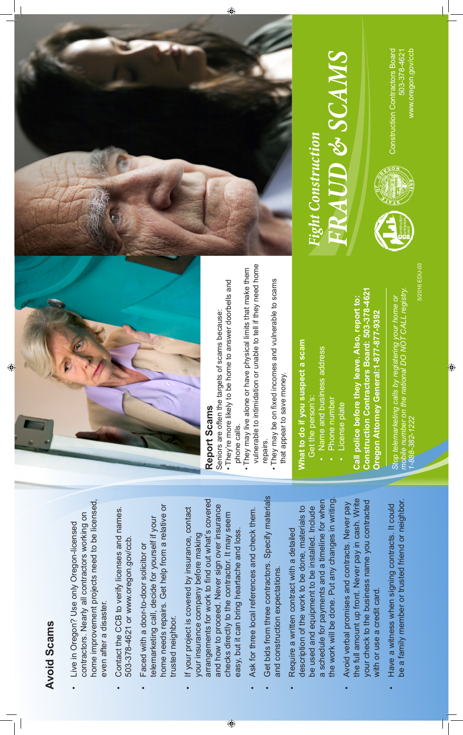# **Avoid Scams Avoid Scams**

- home improvement projects need to be licensed, home improvement projects need to be licensed, contractors. Nearly all contractors working on contractors. Nearly all contractors working on Use only Oregon-licensed • Live in Oregon? Use only Oregon-licensed even after a disaster. even after a disaster. Live in Oregon?
- Contact the CCB to verify licenses and names. • Contact the CCB to verify licenses and names. 503-378-4621 or www.oregon.gov/ccb. 503-378-4621 or www.oregon.gov/ccb.
- home needs repairs. Get help from a relative or home needs repairs. Get help from a relative or telemarketing call, decide for yourself if your telemarketing call, decide for yourself if your Faced with a door-to-door solicitor or • Faced with a door-to-door solicitor or trusted neighbor. trusted neighbor
- arrangements for work to find out what's covered arrangements for work to find out what's covered and how to proceed. Never sign over insurance and how to proceed. Never sign over insurance covered by insurance, contact • If your project is covered by insurance, contact checks directly to the contractor. It may seem checks directly to the contractor. It may seem easy, but it can bring heartache and loss. easy, but it can bring heartache and loss. your insurance company before making your insurance company before making If your project is

 $\bigoplus$ 

- Ask for three local references and check them. • Ask for three local references and check them.
- Get bids from three contractors. Specify materials • Get bids from three contractors. Specify materials and construction expectations. and construction expectations.
- the work will be done. Put any changes in writing. the work will be done. Put any changes in writing. a schedule for payments and a timeline for when schedule for payments and a timeline for when be used and equipment to be installed. Include description of the work to be done, materials to description of the work to be done, materials to be used and equipment to be installed. Include Require a written contract with a detailed • Require a written contract with a detailed
- the full amount up front. Never pay in cash. Write the full amount up front. Never pay in cash. Write your check to the business name you contracted omises and contracts. Never pay your check to the business name you contracted • Avoid verbal promises and contracts. Never pay with or use a credit card. with or use a credit card. Avoid verbal pro
- be a family member or trusted friend or neighbor. be a family member or trusted friend or neighbor. when signing contracts. It could • Have a witness when signing contracts. It could Have a witness



# Report Scams **Report Scams**

- Seniors are often the targets of scams because: Seniors are often the targets of scams because:
- They're more likely to be home to answer doorbells and They're more likely to be home to answer doorbells and phone calls. phone calls.

 $\bigoplus$ 

- vulnerable to intimidation or unable to tell if they need home vulnerable to intimidation or unable to tell if they need home • They may live alone or have physical limits that make them They may live alone or have physical limits that make them
- They may be on fixed incomes and vulnerable to scams They may be on fixed incomes and vulnerable to scams that appear to save money. that appear to save money. repairs.

# What to do if you suspect a scam **What to do if you suspect a scam**

- Get the person's: Get the person's:
- Name and business address Name and business address Phone number Phone number
	- · License plate License plate

Construction Contractors Board: 503-378-4621 **Construction Contractors Board: 503-378-4621 Call police before they leave. Also, report to:**  Call police before they leave. Also, report to: Oregon Attorney General:1-877-877-9392 **Oregon Attorney General:1-877-877-9392** Stop telemarketing calls by registering your home or<br>mobile number on the national DO NOT CALL registry. *mobile number on the national DO NOT CALL registry. Stop telemarketing calls by registering your home or*   $-888 - 382 - 1222$ *1-888-382-1222*

5/2016 EDU-035/2016 EDU-03





**Construction Contractors Board** www.oregon.gov/ccb Construction Contractors Board www.oregon.gov/ccb 503-378-4621 503-378-4621